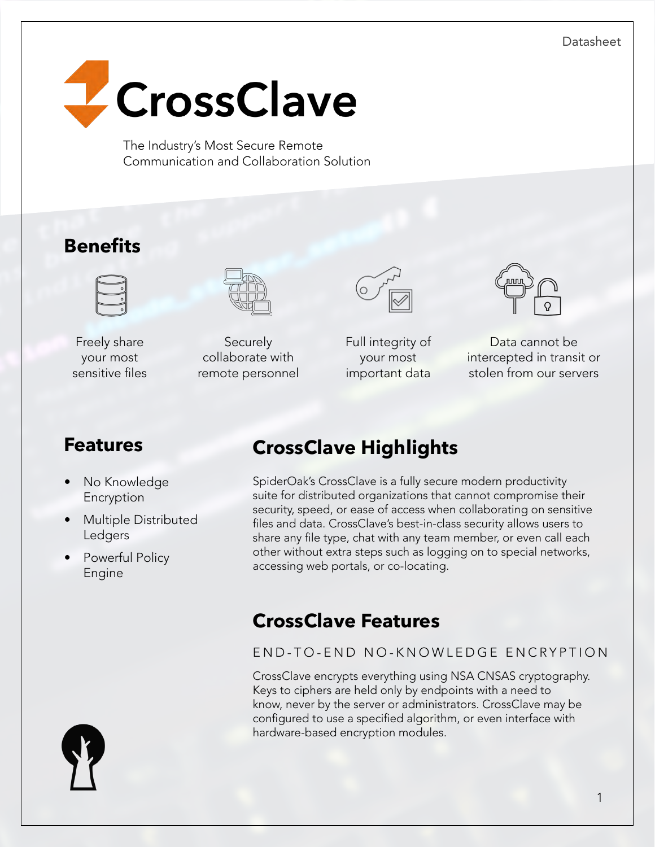Datasheet



The Industry's Most Secure Remote Communication and Collaboration Solution

# **Benefits**



Freely share your most sensitive files



**Securely** collaborate with remote personnel



Full integrity of your most important data



Data cannot be intercepted in transit or stolen from our servers

# **Features**

- No Knowledge Encryption
- Multiple Distributed Ledgers
- Powerful Policy Engine

# **CrossClave Highlights**

SpiderOak's CrossClave is a fully secure modern productivity suite for distributed organizations that cannot compromise their security, speed, or ease of access when collaborating on sensitive files and data. CrossClave's best-in-class security allows users to share any file type, chat with any team member, or even call each other without extra steps such as logging on to special networks, accessing web portals, or co-locating.

# **CrossClave Features**

### END-TO-END NO-KNOWLEDGE ENCRYPTION

CrossClave encrypts everything using NSA CNSAS cryptography. Keys to ciphers are held only by endpoints with a need to know, never by the server or administrators. CrossClave may be configured to use a specified algorithm, or even interface with hardware-based encryption modules.